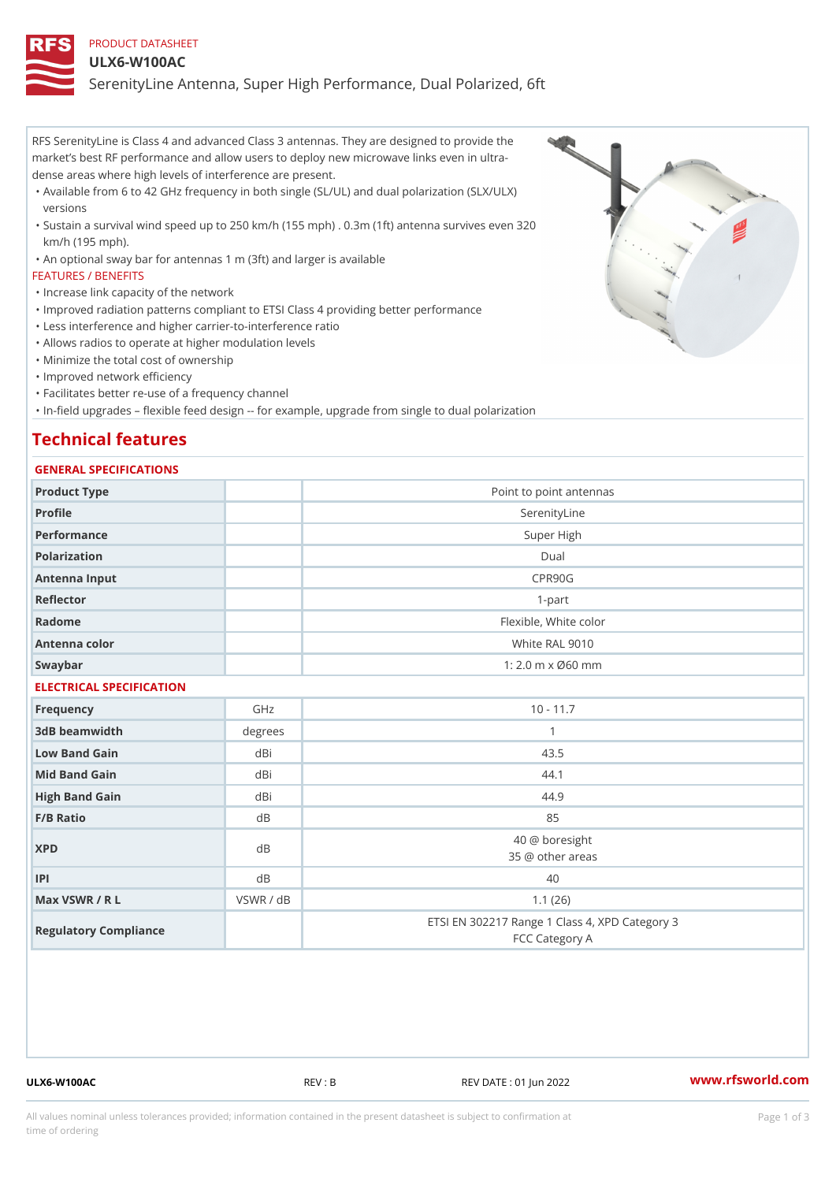## PRODUCT DATASHEET

#### ULX6-W100AC

SerenityLine Antenna, Super High Performance, Dual Polarized, 6ft

RFS SerenityLine is Class 4 and advanced Class 3 antennas. They are designed to provide the market s best RF performance and allow users to deploy new microwave links even in ultra dense areas where high levels of interference are present.

- Available from 6 to 42 GHz frequency in both single (SL/UL) and dual polarization (SLX/ULX) " versions
- Sustain a survival wind speed up to 250 km/h (155 mph) . 0.3m (1ft) antenna survives even 320 " km/h (195 mph).
- "An optional sway bar for antennas 1 m (3ft) and larger is available

#### FEATURES / BENEFITS

- "Increase link capacity of the network
- "Improved radiation patterns compliant to ETSI Class 4 providing better performance
- "Less interference and higher carrier-to-interference ratio
- "Allows radios to operate at higher modulation levels
- "Minimize the total cost of ownership
- "Improved network efficiency
- "Facilitates better re-use of a frequency channel
- "In-field upgrades flexible feed design -- for example, upgrade from single to dual polarization

# Technical features

### GENERAL SPECIFICATIONS

| Product Type             |           | Point to point antennas                                          |  |  |
|--------------------------|-----------|------------------------------------------------------------------|--|--|
| Profile                  |           | SerenityLine                                                     |  |  |
| Performance              |           | Super High                                                       |  |  |
| Polarization             |           | $D$ ual                                                          |  |  |
| Antenna Input            |           | CPR90G                                                           |  |  |
| Reflector                |           | $1 - p$ art                                                      |  |  |
| Radome                   |           | Flexible, White color                                            |  |  |
| Antenna color            |           | White RAL 9010                                                   |  |  |
| Swaybar                  |           | $1: 2.0$ m x $0.60$ mm                                           |  |  |
| ELECTRICAL SPECIFICATION |           |                                                                  |  |  |
| Frequency                | GHz       | $10 - 11.7$                                                      |  |  |
| 3dB beamwidth            | degree:   | $\mathbf{1}$                                                     |  |  |
| Low Band Gain            | dBi       | 43.5                                                             |  |  |
| Mid Band Gain            | dBi       | 44.1                                                             |  |  |
| High Band Gain           | dBi       | 44.9                                                             |  |  |
| F/B Ratio                | d B       | 85                                                               |  |  |
| <b>XPD</b>               | $d$ B     | 40 @ boresight<br>35 @ other areas                               |  |  |
| P                        | d B       | 40                                                               |  |  |
| Max VSWR / R L           | VSWR / dB | 1.1(26)                                                          |  |  |
| Regulatory Compliance    |           | ETSI EN 302217 Range 1 Class 4, XPD Category 3<br>FCC Category A |  |  |
|                          |           |                                                                  |  |  |

ULX6-W100AC REV : B REV DATE : 01 Jun 2022 [www.](https://www.rfsworld.com)rfsworld.com

All values nominal unless tolerances provided; information contained in the present datasheet is subject to Pcapgeign mation time of ordering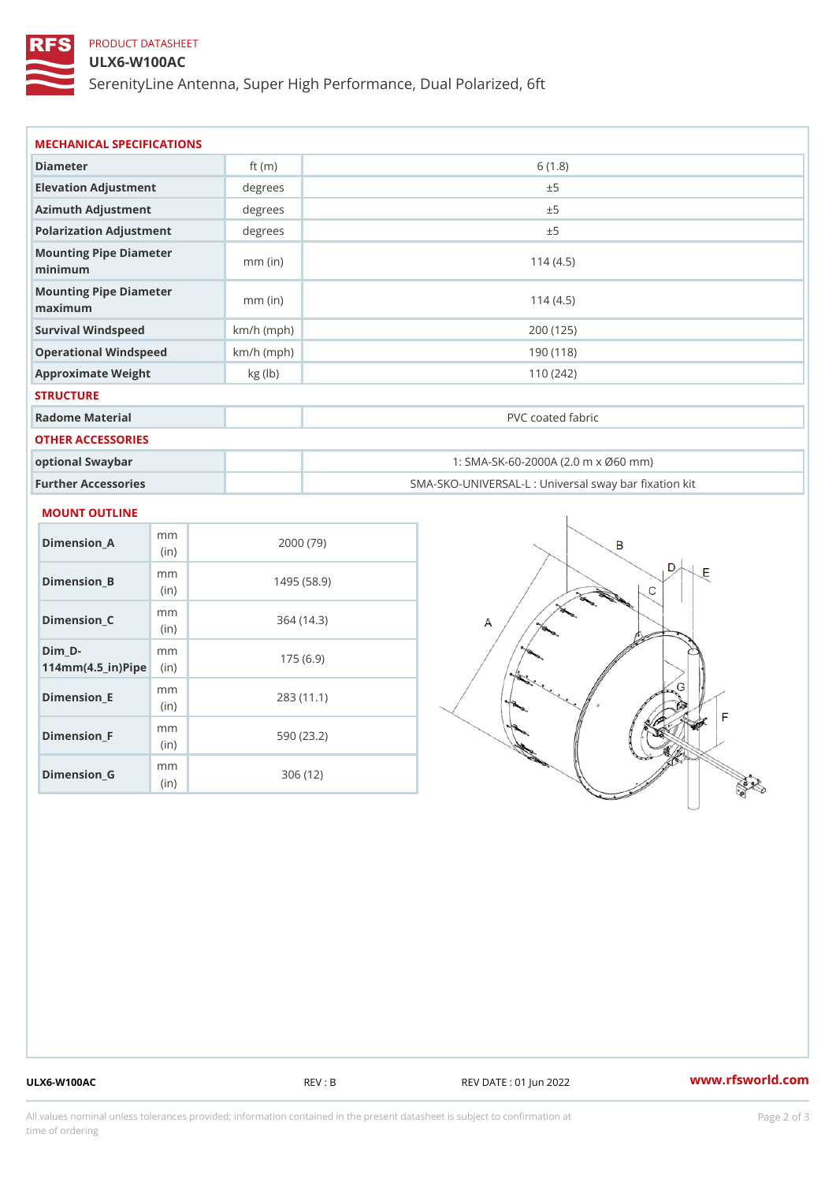# PRODUCT DATASHEET

### ULX6-W100AC

SerenityLine Antenna, Super High Performance, Dual Polarized, 6ft

| Diameter                           | ft $(m)$     | 6(1.8)                                            |
|------------------------------------|--------------|---------------------------------------------------|
| Elevation Adjustment               | degrees      | ± 5                                               |
| Azimuth Adjustment                 | degrees      | ± 5                                               |
| Polarization Adjustment            | degree       | ± 5                                               |
| Mounting Pipe Diameter<br>minimaum | $mm$ (in)    | 114(4.5)                                          |
| Mounting Pipe Diameter<br>maximum  | $mm$ (in)    | 114(4.5)                                          |
| Survival Windspeed                 | $km/h$ (mph) | 200 (125)                                         |
| Operational Windspeed              | $km/h$ (mph) | 190 (118)                                         |
| Approximate Weight                 | kg (lb)      | 110(242)                                          |
| <b>STRUCTURE</b>                   |              |                                                   |
| Radome Material                    |              | PVC coated fabric                                 |
| OTHER ACCESSORIES                  |              |                                                   |
| optional Swaybar                   |              | 1: SMA-SK-60-2000A (2.0 m x Ø60 mm)               |
| Further Accessories                |              | SMA-SKO-UNIVERSAL-L : Universal sway bar fixation |

#### MOUNT OUTLINE

| Dimension_A                       | m m<br>(i n) | 2000 (79)   |
|-----------------------------------|--------------|-------------|
| Dimension B                       | m m<br>(in)  | 1495 (58.9) |
| Dimension_C                       | m m<br>(i n) | 364 (14.3)  |
| Dim D-<br>$114mm(4.5_{ir})$ $Rip$ | m m          | 175(6.9)    |
| Dimension E                       | m m<br>(i n) | 283(11.1)   |
| Dimension F                       | m m<br>(in)  | 590 (23.2)  |
| Dimension G                       | m m<br>(in)  | 306 (12)    |

ULX6-W100AC REV : B REV DATE : 01 Jun 2022 [www.](https://www.rfsworld.com)rfsworld.com

All values nominal unless tolerances provided; information contained in the present datasheet is subject to Pcapgelio an atio time of ordering